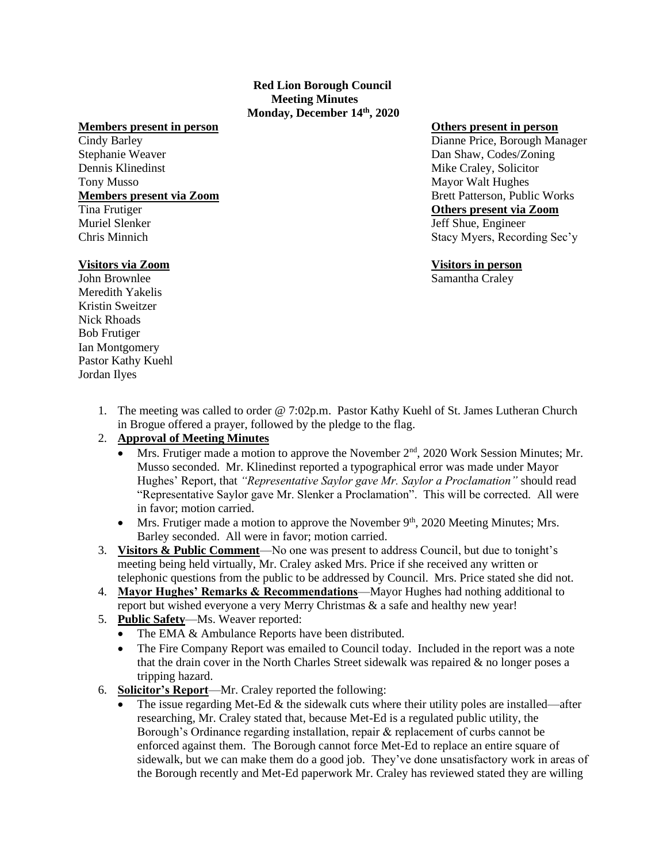## **Red Lion Borough Council Meeting Minutes Monday, December 14th, 2020**

# **Members present in person Others present in person**

Dennis Klinedinst Mike Craley, Solicitor Tony Musso **Mayor Walt Hughes** Mayor Walt Hughes Muriel Slenker **Jeff Shue, Engineer** Jeff Shue, Engineer

Cindy Barley Dianne Price, Borough Manager Stephanie Weaver Dan Shaw, Codes/Zoning **Members present via Zoom** Brett Patterson, Public Works Tina Frutiger **Others present via Zoom** Chris Minnich Stacy Myers, Recording Sec'y

John Brownlee Samantha Craley

# **Visitors via Zoom Visitors in person**

Meredith Yakelis Kristin Sweitzer Nick Rhoads Bob Frutiger Ian Montgomery Pastor Kathy Kuehl Jordan Ilyes

> 1. The meeting was called to order @ 7:02p.m. Pastor Kathy Kuehl of St. James Lutheran Church in Brogue offered a prayer, followed by the pledge to the flag.

# 2. **Approval of Meeting Minutes**

- Mrs. Frutiger made a motion to approve the November  $2<sup>nd</sup>$ , 2020 Work Session Minutes; Mr. Musso seconded. Mr. Klinedinst reported a typographical error was made under Mayor Hughes' Report, that *"Representative Saylor gave Mr. Saylor a Proclamation"* should read "Representative Saylor gave Mr. Slenker a Proclamation". This will be corrected. All were in favor; motion carried.
- Mrs. Frutiger made a motion to approve the November  $9<sup>th</sup>$ , 2020 Meeting Minutes; Mrs. Barley seconded. All were in favor; motion carried.
- 3. **Visitors & Public Comment**—No one was present to address Council, but due to tonight's meeting being held virtually, Mr. Craley asked Mrs. Price if she received any written or telephonic questions from the public to be addressed by Council. Mrs. Price stated she did not.
- 4. **Mayor Hughes' Remarks & Recommendations**—Mayor Hughes had nothing additional to report but wished everyone a very Merry Christmas & a safe and healthy new year!
- 5. **Public Safety**—Ms. Weaver reported:
	- The EMA & Ambulance Reports have been distributed.
	- The Fire Company Report was emailed to Council today. Included in the report was a note that the drain cover in the North Charles Street sidewalk was repaired  $\&$  no longer poses a tripping hazard.
- 6. **Solicitor's Report**—Mr. Craley reported the following:
	- The issue regarding Met-Ed  $\&$  the sidewalk cuts where their utility poles are installed—after researching, Mr. Craley stated that, because Met-Ed is a regulated public utility, the Borough's Ordinance regarding installation, repair & replacement of curbs cannot be enforced against them. The Borough cannot force Met-Ed to replace an entire square of sidewalk, but we can make them do a good job. They've done unsatisfactory work in areas of the Borough recently and Met-Ed paperwork Mr. Craley has reviewed stated they are willing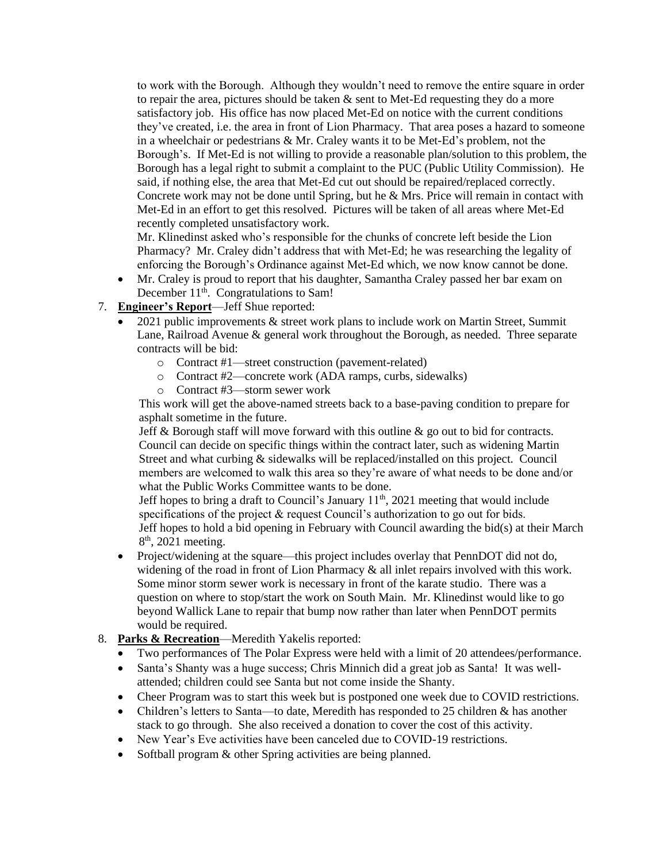to work with the Borough. Although they wouldn't need to remove the entire square in order to repair the area, pictures should be taken  $\&$  sent to Met-Ed requesting they do a more satisfactory job. His office has now placed Met-Ed on notice with the current conditions they've created, i.e. the area in front of Lion Pharmacy. That area poses a hazard to someone in a wheelchair or pedestrians & Mr. Craley wants it to be Met-Ed's problem, not the Borough's. If Met-Ed is not willing to provide a reasonable plan/solution to this problem, the Borough has a legal right to submit a complaint to the PUC (Public Utility Commission). He said, if nothing else, the area that Met-Ed cut out should be repaired/replaced correctly. Concrete work may not be done until Spring, but he & Mrs. Price will remain in contact with Met-Ed in an effort to get this resolved. Pictures will be taken of all areas where Met-Ed recently completed unsatisfactory work.

Mr. Klinedinst asked who's responsible for the chunks of concrete left beside the Lion Pharmacy? Mr. Craley didn't address that with Met-Ed; he was researching the legality of enforcing the Borough's Ordinance against Met-Ed which, we now know cannot be done.

- Mr. Craley is proud to report that his daughter, Samantha Craley passed her bar exam on December 11<sup>th</sup>. Congratulations to Sam!
- 7. **Engineer's Report**—Jeff Shue reported:
	- 2021 public improvements & street work plans to include work on Martin Street, Summit Lane, Railroad Avenue & general work throughout the Borough, as needed. Three separate contracts will be bid:
		- o Contract #1—street construction (pavement-related)
		- o Contract #2—concrete work (ADA ramps, curbs, sidewalks)
		- o Contract #3—storm sewer work

This work will get the above-named streets back to a base-paving condition to prepare for asphalt sometime in the future.

Jeff  $\&$  Borough staff will move forward with this outline  $\&$  go out to bid for contracts. Council can decide on specific things within the contract later, such as widening Martin Street and what curbing & sidewalks will be replaced/installed on this project. Council members are welcomed to walk this area so they're aware of what needs to be done and/or what the Public Works Committee wants to be done.

Jeff hopes to bring a draft to Council's January 11<sup>th</sup>, 2021 meeting that would include specifications of the project & request Council's authorization to go out for bids. Jeff hopes to hold a bid opening in February with Council awarding the bid(s) at their March 8<sup>th</sup>, 2021 meeting.

- Project/widening at the square—this project includes overlay that PennDOT did not do, widening of the road in front of Lion Pharmacy & all inlet repairs involved with this work. Some minor storm sewer work is necessary in front of the karate studio. There was a question on where to stop/start the work on South Main. Mr. Klinedinst would like to go beyond Wallick Lane to repair that bump now rather than later when PennDOT permits would be required.
- 8. **Parks & Recreation**—Meredith Yakelis reported:
	- Two performances of The Polar Express were held with a limit of 20 attendees/performance.
	- Santa's Shanty was a huge success; Chris Minnich did a great job as Santa! It was wellattended; children could see Santa but not come inside the Shanty.
	- Cheer Program was to start this week but is postponed one week due to COVID restrictions.
	- Children's letters to Santa—to date, Meredith has responded to 25 children & has another stack to go through. She also received a donation to cover the cost of this activity.
	- New Year's Eve activities have been canceled due to COVID-19 restrictions.
	- Softball program & other Spring activities are being planned.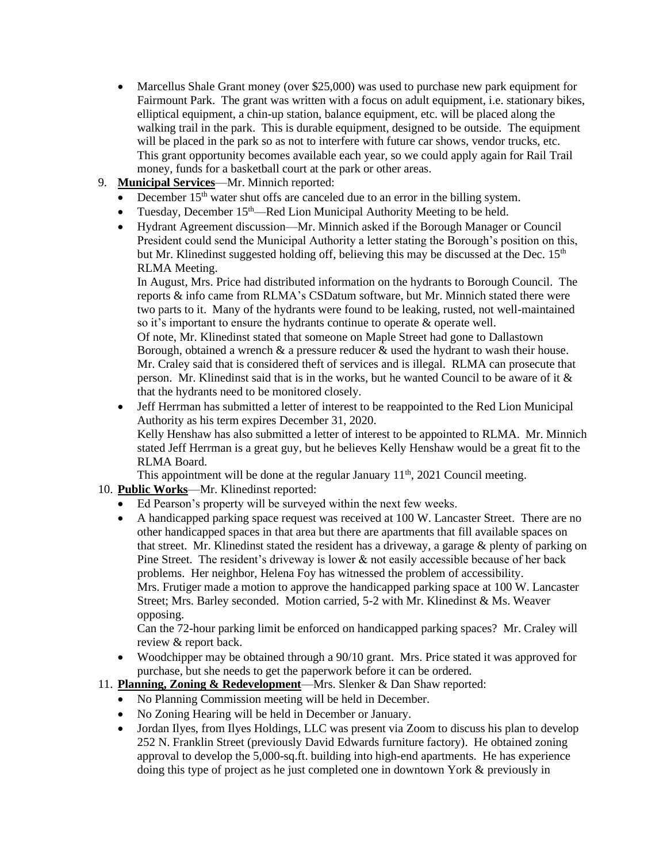- Marcellus Shale Grant money (over \$25,000) was used to purchase new park equipment for Fairmount Park. The grant was written with a focus on adult equipment, i.e. stationary bikes, elliptical equipment, a chin-up station, balance equipment, etc. will be placed along the walking trail in the park. This is durable equipment, designed to be outside. The equipment will be placed in the park so as not to interfere with future car shows, vendor trucks, etc. This grant opportunity becomes available each year, so we could apply again for Rail Trail money, funds for a basketball court at the park or other areas.
- 9. **Municipal Services**—Mr. Minnich reported:
	- December  $15<sup>th</sup>$  water shut offs are canceled due to an error in the billing system.
	- Tuesday, December 15<sup>th</sup>—Red Lion Municipal Authority Meeting to be held.
	- Hydrant Agreement discussion—Mr. Minnich asked if the Borough Manager or Council President could send the Municipal Authority a letter stating the Borough's position on this, but Mr. Klinedinst suggested holding off, believing this may be discussed at the Dec.  $15<sup>th</sup>$ RLMA Meeting.

In August, Mrs. Price had distributed information on the hydrants to Borough Council. The reports & info came from RLMA's CSDatum software, but Mr. Minnich stated there were two parts to it. Many of the hydrants were found to be leaking, rusted, not well-maintained so it's important to ensure the hydrants continue to operate & operate well.

Of note, Mr. Klinedinst stated that someone on Maple Street had gone to Dallastown Borough, obtained a wrench  $\&$  a pressure reducer  $\&$  used the hydrant to wash their house. Mr. Craley said that is considered theft of services and is illegal. RLMA can prosecute that person. Mr. Klinedinst said that is in the works, but he wanted Council to be aware of it & that the hydrants need to be monitored closely.

• Jeff Herrman has submitted a letter of interest to be reappointed to the Red Lion Municipal Authority as his term expires December 31, 2020. Kelly Henshaw has also submitted a letter of interest to be appointed to RLMA. Mr. Minnich stated Jeff Herrman is a great guy, but he believes Kelly Henshaw would be a great fit to the RLMA Board.

This appointment will be done at the regular January  $11<sup>th</sup>$ , 2021 Council meeting.

- 10. **Public Works**—Mr. Klinedinst reported:
	- Ed Pearson's property will be surveyed within the next few weeks.
	- A handicapped parking space request was received at 100 W. Lancaster Street. There are no other handicapped spaces in that area but there are apartments that fill available spaces on that street. Mr. Klinedinst stated the resident has a driveway, a garage & plenty of parking on Pine Street. The resident's driveway is lower & not easily accessible because of her back problems. Her neighbor, Helena Foy has witnessed the problem of accessibility. Mrs. Frutiger made a motion to approve the handicapped parking space at 100 W. Lancaster Street; Mrs. Barley seconded. Motion carried, 5-2 with Mr. Klinedinst & Ms. Weaver opposing.

Can the 72-hour parking limit be enforced on handicapped parking spaces? Mr. Craley will review & report back.

• Woodchipper may be obtained through a 90/10 grant. Mrs. Price stated it was approved for purchase, but she needs to get the paperwork before it can be ordered.

# 11. **Planning, Zoning & Redevelopment**—Mrs. Slenker & Dan Shaw reported:

- No Planning Commission meeting will be held in December.
- No Zoning Hearing will be held in December or January.
- Jordan Ilyes, from Ilyes Holdings, LLC was present via Zoom to discuss his plan to develop 252 N. Franklin Street (previously David Edwards furniture factory). He obtained zoning approval to develop the 5,000-sq.ft. building into high-end apartments. He has experience doing this type of project as he just completed one in downtown York & previously in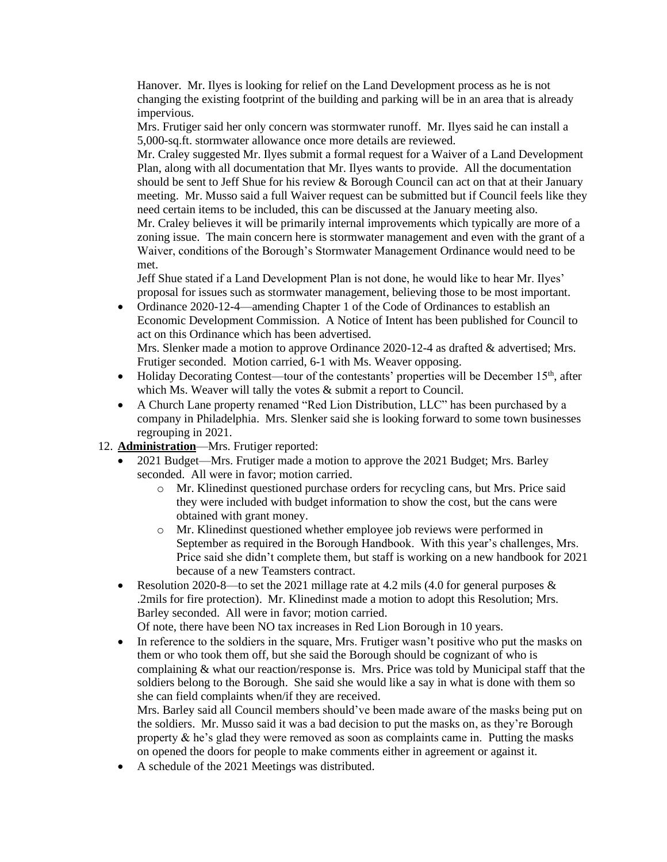Hanover. Mr. Ilyes is looking for relief on the Land Development process as he is not changing the existing footprint of the building and parking will be in an area that is already impervious.

Mrs. Frutiger said her only concern was stormwater runoff. Mr. Ilyes said he can install a 5,000-sq.ft. stormwater allowance once more details are reviewed.

Mr. Craley suggested Mr. Ilyes submit a formal request for a Waiver of a Land Development Plan, along with all documentation that Mr. Ilyes wants to provide. All the documentation should be sent to Jeff Shue for his review & Borough Council can act on that at their January meeting. Mr. Musso said a full Waiver request can be submitted but if Council feels like they need certain items to be included, this can be discussed at the January meeting also.

Mr. Craley believes it will be primarily internal improvements which typically are more of a zoning issue. The main concern here is stormwater management and even with the grant of a Waiver, conditions of the Borough's Stormwater Management Ordinance would need to be met.

Jeff Shue stated if a Land Development Plan is not done, he would like to hear Mr. Ilyes' proposal for issues such as stormwater management, believing those to be most important.

- Ordinance 2020-12-4—amending Chapter 1 of the Code of Ordinances to establish an Economic Development Commission. A Notice of Intent has been published for Council to act on this Ordinance which has been advertised. Mrs. Slenker made a motion to approve Ordinance 2020-12-4 as drafted & advertised; Mrs. Frutiger seconded. Motion carried, 6-1 with Ms. Weaver opposing.
- Holiday Decorating Contest—tour of the contestants' properties will be December  $15<sup>th</sup>$ , after which Ms. Weaver will tally the votes  $\&$  submit a report to Council.
- A Church Lane property renamed "Red Lion Distribution, LLC" has been purchased by a company in Philadelphia. Mrs. Slenker said she is looking forward to some town businesses regrouping in 2021.
- 12. **Administration**—Mrs. Frutiger reported:
	- 2021 Budget—Mrs. Frutiger made a motion to approve the 2021 Budget; Mrs. Barley seconded. All were in favor; motion carried.
		- o Mr. Klinedinst questioned purchase orders for recycling cans, but Mrs. Price said they were included with budget information to show the cost, but the cans were obtained with grant money.
		- o Mr. Klinedinst questioned whether employee job reviews were performed in September as required in the Borough Handbook. With this year's challenges, Mrs. Price said she didn't complete them, but staff is working on a new handbook for 2021 because of a new Teamsters contract.
	- Resolution 2020-8—to set the 2021 millage rate at 4.2 mils (4.0 for general purposes  $\&$ .2mils for fire protection). Mr. Klinedinst made a motion to adopt this Resolution; Mrs. Barley seconded. All were in favor; motion carried.

Of note, there have been NO tax increases in Red Lion Borough in 10 years.

• In reference to the soldiers in the square, Mrs. Frutiger wasn't positive who put the masks on them or who took them off, but she said the Borough should be cognizant of who is complaining  $\&$  what our reaction/response is. Mrs. Price was told by Municipal staff that the soldiers belong to the Borough. She said she would like a say in what is done with them so she can field complaints when/if they are received.

Mrs. Barley said all Council members should've been made aware of the masks being put on the soldiers. Mr. Musso said it was a bad decision to put the masks on, as they're Borough property  $\&$  he's glad they were removed as soon as complaints came in. Putting the masks on opened the doors for people to make comments either in agreement or against it.

• A schedule of the 2021 Meetings was distributed.